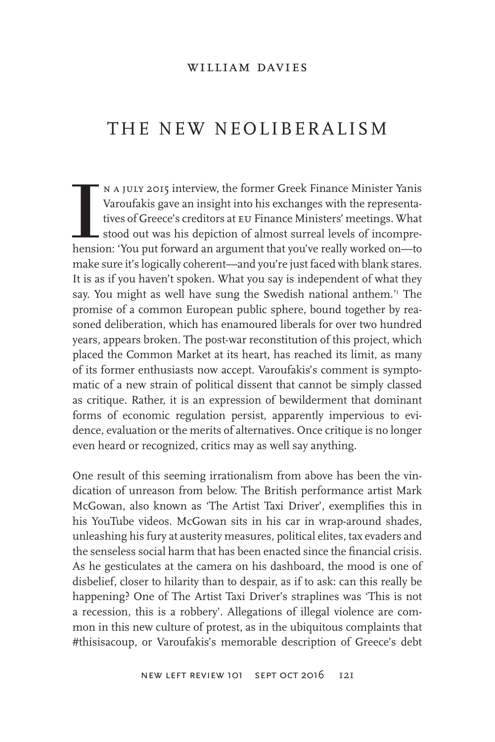# THE NEW NEOLIBERALISM

N A JULY 2015 interview, the former Greek Finance Minister Yanis<br>Varoufakis gave an insight into his exchanges with the representa-<br>tives of Greece's creditors at EU Finance Ministers' meetings. What<br>stood out was his depi n a july 2015 interview, the former Greek Finance Minister Yanis Varoufakis gave an insight into his exchanges with the representatives of Greece's creditors at eu Finance Ministers' meetings. What stood out was his depiction of almost surreal levels of incompremake sure it's logically coherent—and you're just faced with blank stares. It is as if you haven't spoken. What you say is independent of what they say. You might as well have sung the Swedish national anthem.'<sup>1</sup> The promise of a common European public sphere, bound together by reasoned deliberation, which has enamoured liberals for over two hundred years, appears broken. The post-war reconstitution of this project, which placed the Common Market at its heart, has reached its limit, as many of its former enthusiasts now accept. Varoufakis's comment is symptomatic of a new strain of political dissent that cannot be simply classed as critique. Rather, it is an expression of bewilderment that dominant forms of economic regulation persist, apparently impervious to evidence, evaluation or the merits of alternatives. Once critique is no longer even heard or recognized, critics may as well say anything.

One result of this seeming irrationalism from above has been the vindication of unreason from below. The British performance artist Mark McGowan, also known as 'The Artist Taxi Driver', exemplifies this in his YouTube videos. McGowan sits in his car in wrap-around shades, unleashing his fury at austerity measures, political elites, tax evaders and the senseless social harm that has been enacted since the financial crisis. As he gesticulates at the camera on his dashboard, the mood is one of disbelief, closer to hilarity than to despair, as if to ask: can this really be happening? One of The Artist Taxi Driver's straplines was 'This is not a recession, this is a robbery'. Allegations of illegal violence are common in this new culture of protest, as in the ubiquitous complaints that #thisisacoup, or Varoufakis's memorable description of Greece's debt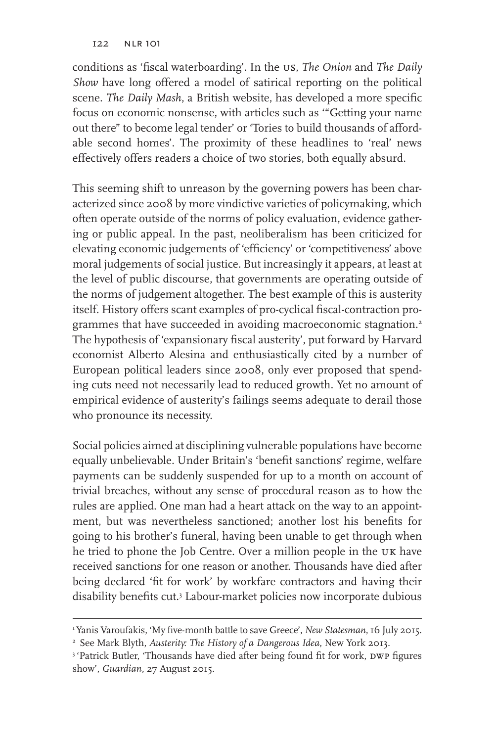conditions as 'fiscal waterboarding'. In the us, *The Onion* and *The Daily Show* have long offered a model of satirical reporting on the political scene. *The Daily Mash*, a British website, has developed a more specific focus on economic nonsense, with articles such as '"Getting your name out there" to become legal tender' or 'Tories to build thousands of affordable second homes'. The proximity of these headlines to 'real' news effectively offers readers a choice of two stories, both equally absurd.

This seeming shift to unreason by the governing powers has been characterized since 2008 by more vindictive varieties of policymaking, which often operate outside of the norms of policy evaluation, evidence gathering or public appeal. In the past, neoliberalism has been criticized for elevating economic judgements of 'efficiency' or 'competitiveness' above moral judgements of social justice. But increasingly it appears, at least at the level of public discourse, that governments are operating outside of the norms of judgement altogether. The best example of this is austerity itself. History offers scant examples of pro-cyclical fiscal-contraction programmes that have succeeded in avoiding macroeconomic stagnation.<sup>2</sup> The hypothesis of 'expansionary fiscal austerity', put forward by Harvard economist Alberto Alesina and enthusiastically cited by a number of European political leaders since 2008, only ever proposed that spending cuts need not necessarily lead to reduced growth. Yet no amount of empirical evidence of austerity's failings seems adequate to derail those who pronounce its necessity.

Social policies aimed at disciplining vulnerable populations have become equally unbelievable. Under Britain's 'benefit sanctions' regime, welfare payments can be suddenly suspended for up to a month on account of trivial breaches, without any sense of procedural reason as to how the rules are applied. One man had a heart attack on the way to an appointment, but was nevertheless sanctioned; another lost his benefits for going to his brother's funeral, having been unable to get through when he tried to phone the Job Centre. Over a million people in the uk have received sanctions for one reason or another. Thousands have died after being declared 'fit for work' by workfare contractors and having their disability benefits cut.3 Labour-market policies now incorporate dubious

<sup>1</sup> Yanis Varoufakis, 'My five-month battle to save Greece', *New Statesman*, 16 July 2015.

<sup>&</sup>lt;sup>2</sup> See Mark Blyth, *Austerity: The History of a Dangerous Idea*, New York 2013.<br><sup>3 '</sup>Patrick Butler, 'Thousands have died after being found fit for work, DWP figures show', *Guardian*, 27 August 2015.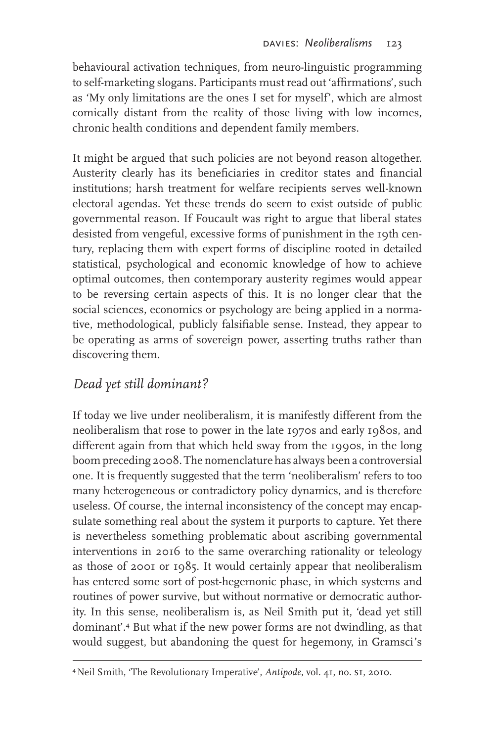behavioural activation techniques, from neuro-linguistic programming to self-marketing slogans. Participants must read out 'affirmations', such as 'My only limitations are the ones I set for myself', which are almost comically distant from the reality of those living with low incomes, chronic health conditions and dependent family members.

It might be argued that such policies are not beyond reason altogether. Austerity clearly has its beneficiaries in creditor states and financial institutions; harsh treatment for welfare recipients serves well-known electoral agendas. Yet these trends do seem to exist outside of public governmental reason. If Foucault was right to argue that liberal states desisted from vengeful, excessive forms of punishment in the 19th century, replacing them with expert forms of discipline rooted in detailed statistical, psychological and economic knowledge of how to achieve optimal outcomes, then contemporary austerity regimes would appear to be reversing certain aspects of this. It is no longer clear that the social sciences, economics or psychology are being applied in a normative, methodological, publicly falsifiable sense. Instead, they appear to be operating as arms of sovereign power, asserting truths rather than discovering them.

## *Dead yet still dominant?*

If today we live under neoliberalism, it is manifestly different from the neoliberalism that rose to power in the late 1970s and early 1980s, and different again from that which held sway from the 1990s, in the long boom preceding 2008. The nomenclature has always been a controversial one. It is frequently suggested that the term 'neoliberalism' refers to too many heterogeneous or contradictory policy dynamics, and is therefore useless. Of course, the internal inconsistency of the concept may encapsulate something real about the system it purports to capture. Yet there is nevertheless something problematic about ascribing governmental interventions in 2016 to the same overarching rationality or teleology as those of 2001 or 1985. It would certainly appear that neoliberalism has entered some sort of post-hegemonic phase, in which systems and routines of power survive, but without normative or democratic authority. In this sense, neoliberalism is, as Neil Smith put it, 'dead yet still dominant'.4 But what if the new power forms are not dwindling, as that would suggest, but abandoning the quest for hegemony, in Gramsci's

<sup>4</sup> Neil Smith, 'The Revolutionary Imperative', *Antipode*, vol. 41, no. s1, 2010.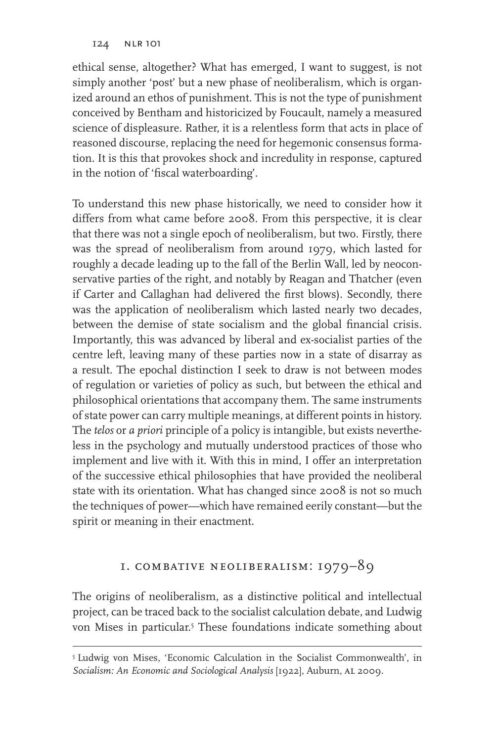ethical sense, altogether? What has emerged, I want to suggest, is not simply another 'post' but a new phase of neoliberalism, which is organized around an ethos of punishment. This is not the type of punishment conceived by Bentham and historicized by Foucault, namely a measured science of displeasure. Rather, it is a relentless form that acts in place of reasoned discourse, replacing the need for hegemonic consensus formation. It is this that provokes shock and incredulity in response, captured in the notion of 'fiscal waterboarding'.

To understand this new phase historically, we need to consider how it differs from what came before 2008. From this perspective, it is clear that there was not a single epoch of neoliberalism, but two. Firstly, there was the spread of neoliberalism from around 1979, which lasted for roughly a decade leading up to the fall of the Berlin Wall, led by neoconservative parties of the right, and notably by Reagan and Thatcher (even if Carter and Callaghan had delivered the first blows). Secondly, there was the application of neoliberalism which lasted nearly two decades, between the demise of state socialism and the global financial crisis. Importantly, this was advanced by liberal and ex-socialist parties of the centre left, leaving many of these parties now in a state of disarray as a result. The epochal distinction I seek to draw is not between modes of regulation or varieties of policy as such, but between the ethical and philosophical orientations that accompany them. The same instruments of state power can carry multiple meanings, at different points in history. The *telos* or *a priori* principle of a policy is intangible, but exists nevertheless in the psychology and mutually understood practices of those who implement and live with it. With this in mind, I offer an interpretation of the successive ethical philosophies that have provided the neoliberal state with its orientation. What has changed since 2008 is not so much the techniques of power—which have remained eerily constant—but the spirit or meaning in their enactment.

#### 1. combative neoliberalism: 1979–89

The origins of neoliberalism, as a distinctive political and intellectual project, can be traced back to the socialist calculation debate, and Ludwig von Mises in particular.<sup>5</sup> These foundations indicate something about

<sup>5</sup> Ludwig von Mises, 'Economic Calculation in the Socialist Commonwealth', in *Socialism: An Economic and Sociological Analysis* [1922], Auburn, al 2009.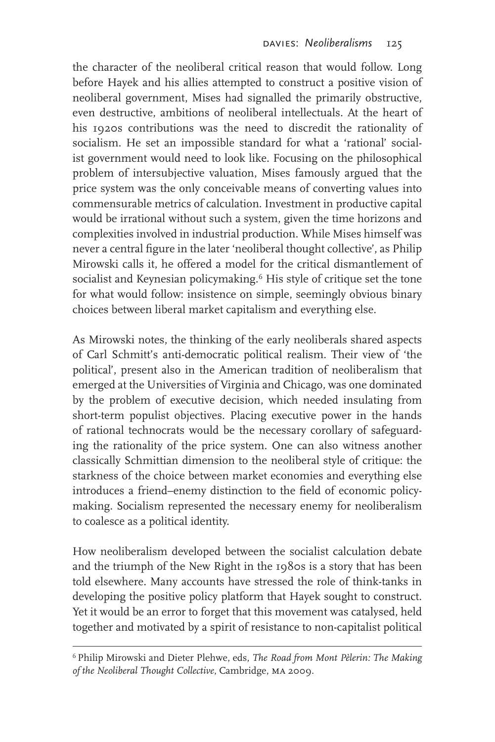the character of the neoliberal critical reason that would follow. Long before Hayek and his allies attempted to construct a positive vision of neoliberal government, Mises had signalled the primarily obstructive, even destructive, ambitions of neoliberal intellectuals. At the heart of his 1920s contributions was the need to discredit the rationality of socialism. He set an impossible standard for what a 'rational' socialist government would need to look like. Focusing on the philosophical problem of intersubjective valuation, Mises famously argued that the price system was the only conceivable means of converting values into commensurable metrics of calculation. Investment in productive capital would be irrational without such a system, given the time horizons and complexities involved in industrial production. While Mises himself was never a central figure in the later 'neoliberal thought collective', as Philip Mirowski calls it, he offered a model for the critical dismantlement of socialist and Keynesian policymaking.<sup>6</sup> His style of critique set the tone for what would follow: insistence on simple, seemingly obvious binary choices between liberal market capitalism and everything else.

As Mirowski notes, the thinking of the early neoliberals shared aspects of Carl Schmitt's anti-democratic political realism. Their view of 'the political', present also in the American tradition of neoliberalism that emerged at the Universities of Virginia and Chicago, was one dominated by the problem of executive decision, which needed insulating from short-term populist objectives. Placing executive power in the hands of rational technocrats would be the necessary corollary of safeguarding the rationality of the price system. One can also witness another classically Schmittian dimension to the neoliberal style of critique: the starkness of the choice between market economies and everything else introduces a friend–enemy distinction to the field of economic policymaking. Socialism represented the necessary enemy for neoliberalism to coalesce as a political identity.

How neoliberalism developed between the socialist calculation debate and the triumph of the New Right in the 1980s is a story that has been told elsewhere. Many accounts have stressed the role of think-tanks in developing the positive policy platform that Hayek sought to construct. Yet it would be an error to forget that this movement was catalysed, held together and motivated by a spirit of resistance to non-capitalist political

<sup>6</sup> Philip Mirowski and Dieter Plehwe, eds, *The Road from Mont Pèlerin: The Making of the Neoliberal Thought Collective*, Cambridge, ma 2009.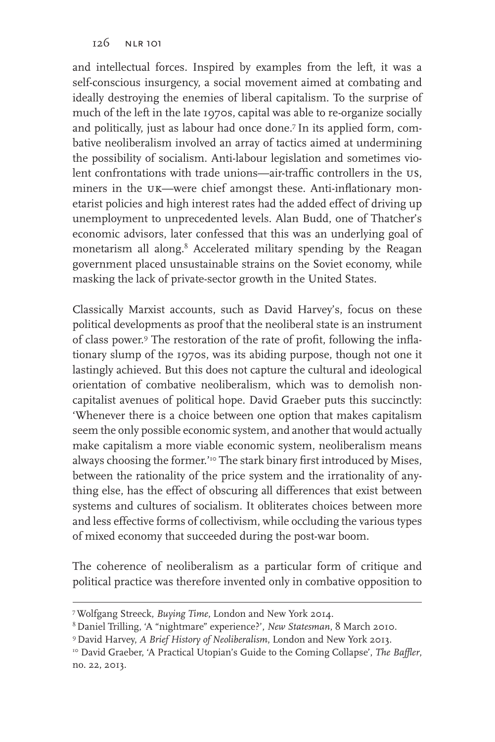and intellectual forces. Inspired by examples from the left, it was a self-conscious insurgency, a social movement aimed at combating and ideally destroying the enemies of liberal capitalism. To the surprise of much of the left in the late 1970s, capital was able to re-organize socially and politically, just as labour had once done.7 In its applied form, combative neoliberalism involved an array of tactics aimed at undermining the possibility of socialism. Anti-labour legislation and sometimes violent confrontations with trade unions—air-traffic controllers in the us, miners in the uk—were chief amongst these. Anti-inflationary monetarist policies and high interest rates had the added effect of driving up unemployment to unprecedented levels. Alan Budd, one of Thatcher's economic advisors, later confessed that this was an underlying goal of monetarism all along.8 Accelerated military spending by the Reagan government placed unsustainable strains on the Soviet economy, while masking the lack of private-sector growth in the United States.

Classically Marxist accounts, such as David Harvey's, focus on these political developments as proof that the neoliberal state is an instrument of class power.9 The restoration of the rate of profit, following the inflationary slump of the 1970s, was its abiding purpose, though not one it lastingly achieved. But this does not capture the cultural and ideological orientation of combative neoliberalism, which was to demolish noncapitalist avenues of political hope. David Graeber puts this succinctly: 'Whenever there is a choice between one option that makes capitalism seem the only possible economic system, and another that would actually make capitalism a more viable economic system, neoliberalism means always choosing the former.'10 The stark binary first introduced by Mises, between the rationality of the price system and the irrationality of anything else, has the effect of obscuring all differences that exist between systems and cultures of socialism. It obliterates choices between more and less effective forms of collectivism, while occluding the various types of mixed economy that succeeded during the post-war boom.

The coherence of neoliberalism as a particular form of critique and political practice was therefore invented only in combative opposition to

<sup>7</sup> Wolfgang Streeck, *Buying Time*, London and New York 2014.

<sup>8</sup> Daniel Trilling, 'A "nightmare" experience?', *New Statesman*, 8 March 2010.

<sup>9</sup> David Harvey, *A Brief History of Neoliberalism*, London and New York 2013.

<sup>&</sup>lt;sup>10</sup> David Graeber, 'A Practical Utopian's Guide to the Coming Collapse', *The Baffler*, no. 22, 2013.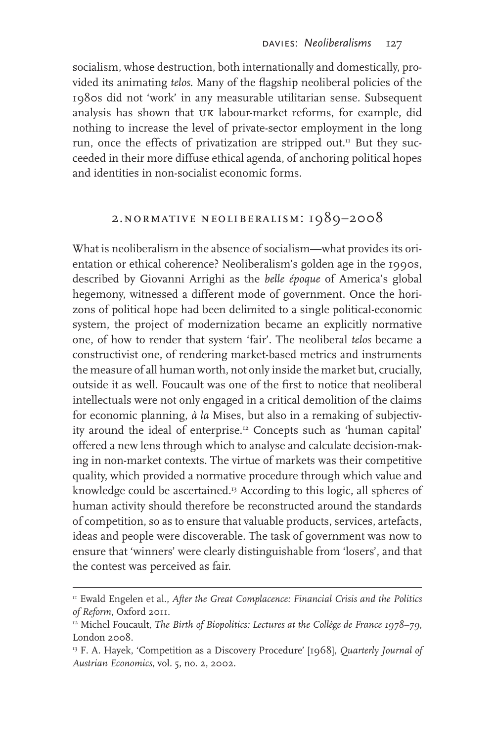socialism, whose destruction, both internationally and domestically, provided its animating *telos*. Many of the flagship neoliberal policies of the 1980s did not 'work' in any measurable utilitarian sense. Subsequent analysis has shown that uk labour-market reforms, for example, did nothing to increase the level of private-sector employment in the long run, once the effects of privatization are stripped out.<sup>11</sup> But they succeeded in their more diffuse ethical agenda, of anchoring political hopes and identities in non-socialist economic forms.

#### 2.normative neoliberalism: 1989–2008

What is neoliberalism in the absence of socialism—what provides its orientation or ethical coherence? Neoliberalism's golden age in the 1990s, described by Giovanni Arrighi as the *belle époque* of America's global hegemony, witnessed a different mode of government. Once the horizons of political hope had been delimited to a single political-economic system, the project of modernization became an explicitly normative one, of how to render that system 'fair'. The neoliberal *telos* became a constructivist one, of rendering market-based metrics and instruments the measure of all human worth, not only inside the market but, crucially, outside it as well. Foucault was one of the first to notice that neoliberal intellectuals were not only engaged in a critical demolition of the claims for economic planning, *à la* Mises, but also in a remaking of subjectivity around the ideal of enterprise.<sup>12</sup> Concepts such as 'human capital' offered a new lens through which to analyse and calculate decision-making in non-market contexts. The virtue of markets was their competitive quality, which provided a normative procedure through which value and knowledge could be ascertained.<sup>13</sup> According to this logic, all spheres of human activity should therefore be reconstructed around the standards of competition, so as to ensure that valuable products, services, artefacts, ideas and people were discoverable. The task of government was now to ensure that 'winners' were clearly distinguishable from 'losers', and that the contest was perceived as fair.

<sup>&</sup>lt;sup>11</sup> Ewald Engelen et al., *After the Great Complacence: Financial Crisis and the Politics of Reform*, Oxford 2011.

<sup>&</sup>lt;sup>12</sup> Michel Foucault, *The Birth of Biopolitics: Lectures at the Collège de France 1978–79*, London 2008.

<sup>13</sup> F. A. Hayek, 'Competition as a Discovery Procedure' [1968], *Quarterly Journal of Austrian Economics*, vol. 5, no. 2, 2002.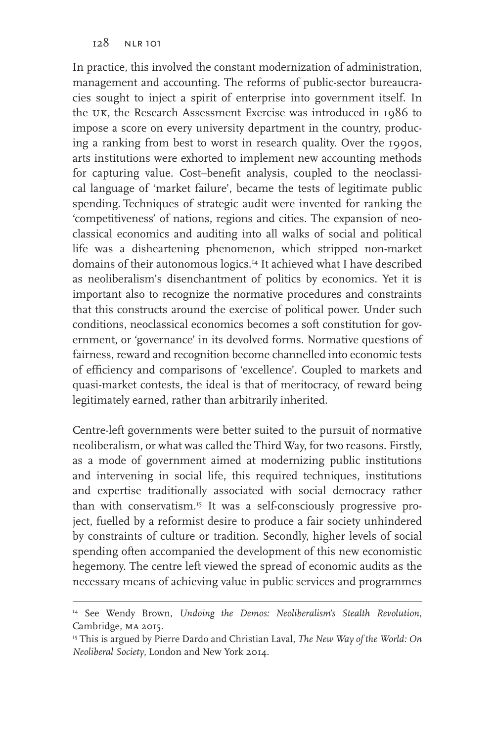In practice, this involved the constant modernization of administration, management and accounting. The reforms of public-sector bureaucracies sought to inject a spirit of enterprise into government itself. In the uk, the Research Assessment Exercise was introduced in 1986 to impose a score on every university department in the country, producing a ranking from best to worst in research quality. Over the 1990s, arts institutions were exhorted to implement new accounting methods for capturing value. Cost–benefit analysis, coupled to the neoclassical language of 'market failure', became the tests of legitimate public spending. Techniques of strategic audit were invented for ranking the 'competitiveness' of nations, regions and cities. The expansion of neoclassical economics and auditing into all walks of social and political life was a disheartening phenomenon, which stripped non-market domains of their autonomous logics.14 It achieved what I have described as neoliberalism's disenchantment of politics by economics. Yet it is important also to recognize the normative procedures and constraints that this constructs around the exercise of political power. Under such conditions, neoclassical economics becomes a soft constitution for government, or 'governance' in its devolved forms. Normative questions of fairness, reward and recognition become channelled into economic tests of efficiency and comparisons of 'excellence'. Coupled to markets and quasi-market contests, the ideal is that of meritocracy, of reward being legitimately earned, rather than arbitrarily inherited.

Centre-left governments were better suited to the pursuit of normative neoliberalism, or what was called the Third Way, for two reasons. Firstly, as a mode of government aimed at modernizing public institutions and intervening in social life, this required techniques, institutions and expertise traditionally associated with social democracy rather than with conservatism.15 It was a self-consciously progressive project, fuelled by a reformist desire to produce a fair society unhindered by constraints of culture or tradition. Secondly, higher levels of social spending often accompanied the development of this new economistic hegemony. The centre left viewed the spread of economic audits as the necessary means of achieving value in public services and programmes

<sup>14</sup> See Wendy Brown, *Undoing the Demos: Neoliberalism's Stealth Revolution*, Cambridge, ma 2015.

<sup>15</sup> This is argued by Pierre Dardo and Christian Laval, *The New Way of the World: On Neoliberal Society*, London and New York 2014.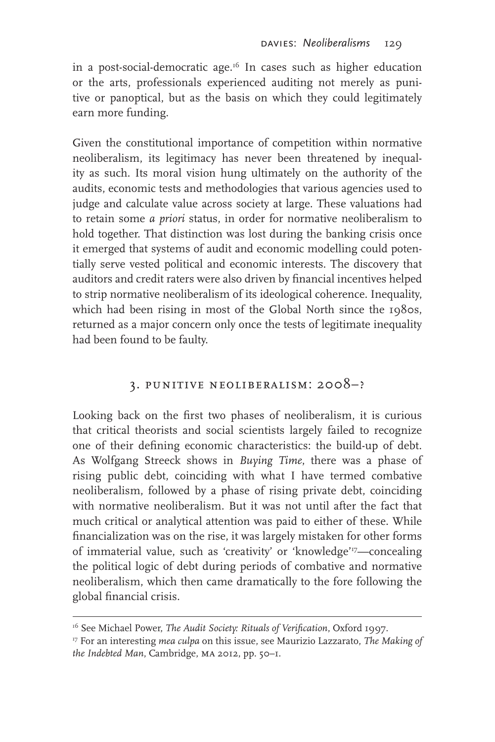in a post-social-democratic age.<sup>16</sup> In cases such as higher education or the arts, professionals experienced auditing not merely as punitive or panoptical, but as the basis on which they could legitimately earn more funding.

Given the constitutional importance of competition within normative neoliberalism, its legitimacy has never been threatened by inequality as such. Its moral vision hung ultimately on the authority of the audits, economic tests and methodologies that various agencies used to judge and calculate value across society at large. These valuations had to retain some *a priori* status, in order for normative neoliberalism to hold together. That distinction was lost during the banking crisis once it emerged that systems of audit and economic modelling could potentially serve vested political and economic interests. The discovery that auditors and credit raters were also driven by financial incentives helped to strip normative neoliberalism of its ideological coherence. Inequality, which had been rising in most of the Global North since the 1980s, returned as a major concern only once the tests of legitimate inequality had been found to be faulty.

# 3. punitive neoliberalism: 2008–?

Looking back on the first two phases of neoliberalism, it is curious that critical theorists and social scientists largely failed to recognize one of their defining economic characteristics: the build-up of debt. As Wolfgang Streeck shows in *Buying Time*, there was a phase of rising public debt, coinciding with what I have termed combative neoliberalism, followed by a phase of rising private debt, coinciding with normative neoliberalism. But it was not until after the fact that much critical or analytical attention was paid to either of these. While financialization was on the rise, it was largely mistaken for other forms of immaterial value, such as 'creativity' or 'knowledge'17—concealing the political logic of debt during periods of combative and normative neoliberalism, which then came dramatically to the fore following the global financial crisis.

<sup>16</sup> See Michael Power, *The Audit Society: Rituals of Verification*, Oxford 1997.

<sup>17</sup> For an interesting *mea culpa* on this issue, see Maurizio Lazzarato, *The Making of the Indebted Man*, Cambridge, ma 2012, pp. 50–1.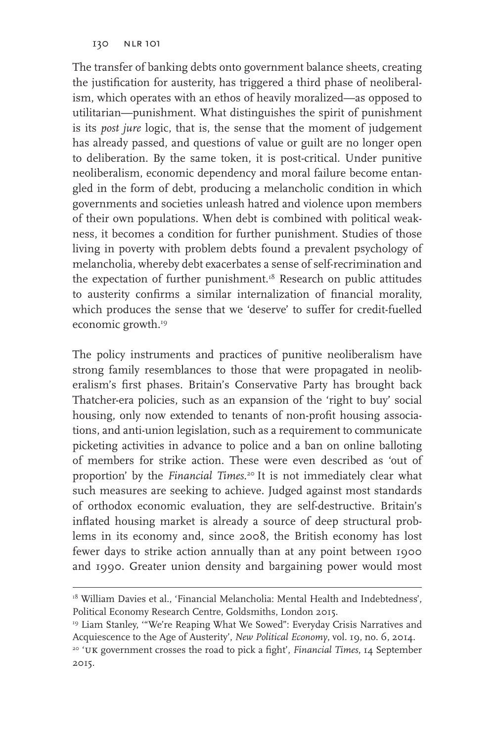The transfer of banking debts onto government balance sheets, creating the justification for austerity, has triggered a third phase of neoliberalism, which operates with an ethos of heavily moralized—as opposed to utilitarian—punishment. What distinguishes the spirit of punishment is its *post jure* logic, that is, the sense that the moment of judgement has already passed, and questions of value or guilt are no longer open to deliberation. By the same token, it is post-critical. Under punitive neoliberalism, economic dependency and moral failure become entangled in the form of debt, producing a melancholic condition in which governments and societies unleash hatred and violence upon members of their own populations. When debt is combined with political weakness, it becomes a condition for further punishment. Studies of those living in poverty with problem debts found a prevalent psychology of melancholia, whereby debt exacerbates a sense of self-recrimination and the expectation of further punishment.<sup>18</sup> Research on public attitudes to austerity confirms a similar internalization of financial morality, which produces the sense that we 'deserve' to suffer for credit-fuelled economic growth.<sup>19</sup>

The policy instruments and practices of punitive neoliberalism have strong family resemblances to those that were propagated in neoliberalism's first phases. Britain's Conservative Party has brought back Thatcher-era policies, such as an expansion of the 'right to buy' social housing, only now extended to tenants of non-profit housing associations, and anti-union legislation, such as a requirement to communicate picketing activities in advance to police and a ban on online balloting of members for strike action. These were even described as 'out of proportion' by the *Financial Times*. 20 It is not immediately clear what such measures are seeking to achieve. Judged against most standards of orthodox economic evaluation, they are self-destructive. Britain's inflated housing market is already a source of deep structural problems in its economy and, since 2008, the British economy has lost fewer days to strike action annually than at any point between 1900 and 1990. Greater union density and bargaining power would most

<sup>&</sup>lt;sup>18</sup> William Davies et al., 'Financial Melancholia: Mental Health and Indebtedness', Political Economy Research Centre, Goldsmiths, London 2015.

<sup>&</sup>lt;sup>19</sup> Liam Stanley, "We're Reaping What We Sowed": Everyday Crisis Narratives and Acquiescence to the Age of Austerity', *New Political Economy*, vol. 19, no. 6, 2014. 20 'uk government crosses the road to pick a fight', *Financial Times*, 14 September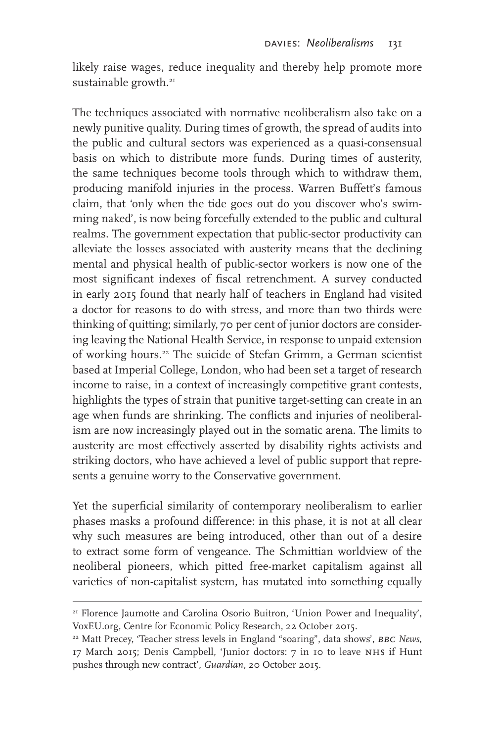likely raise wages, reduce inequality and thereby help promote more sustainable growth.<sup>21</sup>

The techniques associated with normative neoliberalism also take on a newly punitive quality. During times of growth, the spread of audits into the public and cultural sectors was experienced as a quasi-consensual basis on which to distribute more funds. During times of austerity, the same techniques become tools through which to withdraw them, producing manifold injuries in the process. Warren Buffett's famous claim, that 'only when the tide goes out do you discover who's swimming naked', is now being forcefully extended to the public and cultural realms. The government expectation that public-sector productivity can alleviate the losses associated with austerity means that the declining mental and physical health of public-sector workers is now one of the most significant indexes of fiscal retrenchment. A survey conducted in early 2015 found that nearly half of teachers in England had visited a doctor for reasons to do with stress, and more than two thirds were thinking of quitting; similarly, 70 per cent of junior doctors are considering leaving the National Health Service, in response to unpaid extension of working hours.22 The suicide of Stefan Grimm, a German scientist based at Imperial College, London, who had been set a target of research income to raise, in a context of increasingly competitive grant contests, highlights the types of strain that punitive target-setting can create in an age when funds are shrinking. The conflicts and injuries of neoliberalism are now increasingly played out in the somatic arena. The limits to austerity are most effectively asserted by disability rights activists and striking doctors, who have achieved a level of public support that represents a genuine worry to the Conservative government.

Yet the superficial similarity of contemporary neoliberalism to earlier phases masks a profound difference: in this phase, it is not at all clear why such measures are being introduced, other than out of a desire to extract some form of vengeance. The Schmittian worldview of the neoliberal pioneers, which pitted free-market capitalism against all varieties of non-capitalist system, has mutated into something equally

<sup>&</sup>lt;sup>21</sup> Florence Jaumotte and Carolina Osorio Buitron, 'Union Power and Inequality', VoxEU.org, Centre for Economic Policy Research, 22 October 2015.

<sup>22</sup> Matt Precey, 'Teacher stress levels in England "soaring", data shows', *bbc News*, 17 March 2015; Denis Campbell, 'Junior doctors: 7 in 10 to leave nhs if Hunt pushes through new contract', *Guardian*, 20 October 2015.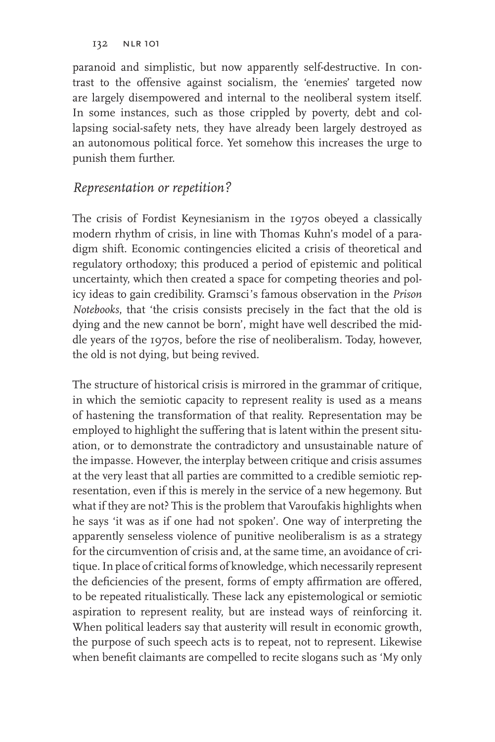paranoid and simplistic, but now apparently self-destructive. In contrast to the offensive against socialism, the 'enemies' targeted now are largely disempowered and internal to the neoliberal system itself. In some instances, such as those crippled by poverty, debt and collapsing social-safety nets, they have already been largely destroyed as an autonomous political force. Yet somehow this increases the urge to punish them further.

## *Representation or repetition?*

The crisis of Fordist Keynesianism in the 1970s obeyed a classically modern rhythm of crisis, in line with Thomas Kuhn's model of a paradigm shift. Economic contingencies elicited a crisis of theoretical and regulatory orthodoxy; this produced a period of epistemic and political uncertainty, which then created a space for competing theories and policy ideas to gain credibility. Gramsci's famous observation in the *Prison Notebooks*, that 'the crisis consists precisely in the fact that the old is dying and the new cannot be born', might have well described the middle years of the 1970s, before the rise of neoliberalism. Today, however, the old is not dying, but being revived.

The structure of historical crisis is mirrored in the grammar of critique, in which the semiotic capacity to represent reality is used as a means of hastening the transformation of that reality. Representation may be employed to highlight the suffering that is latent within the present situation, or to demonstrate the contradictory and unsustainable nature of the impasse. However, the interplay between critique and crisis assumes at the very least that all parties are committed to a credible semiotic representation, even if this is merely in the service of a new hegemony. But what if they are not? This is the problem that Varoufakis highlights when he says 'it was as if one had not spoken'. One way of interpreting the apparently senseless violence of punitive neoliberalism is as a strategy for the circumvention of crisis and, at the same time, an avoidance of critique. In place of critical forms of knowledge, which necessarily represent the deficiencies of the present, forms of empty affirmation are offered, to be repeated ritualistically. These lack any epistemological or semiotic aspiration to represent reality, but are instead ways of reinforcing it. When political leaders say that austerity will result in economic growth, the purpose of such speech acts is to repeat, not to represent. Likewise when benefit claimants are compelled to recite slogans such as 'My only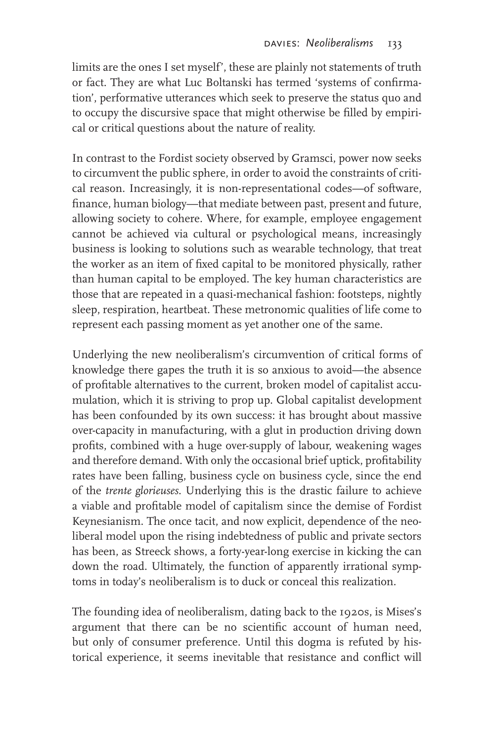limits are the ones I set myself', these are plainly not statements of truth or fact. They are what Luc Boltanski has termed 'systems of confirmation', performative utterances which seek to preserve the status quo and to occupy the discursive space that might otherwise be filled by empirical or critical questions about the nature of reality.

In contrast to the Fordist society observed by Gramsci, power now seeks to circumvent the public sphere, in order to avoid the constraints of critical reason. Increasingly, it is non-representational codes—of software, finance, human biology—that mediate between past, present and future, allowing society to cohere. Where, for example, employee engagement cannot be achieved via cultural or psychological means, increasingly business is looking to solutions such as wearable technology, that treat the worker as an item of fixed capital to be monitored physically, rather than human capital to be employed. The key human characteristics are those that are repeated in a quasi-mechanical fashion: footsteps, nightly sleep, respiration, heartbeat. These metronomic qualities of life come to represent each passing moment as yet another one of the same.

Underlying the new neoliberalism's circumvention of critical forms of knowledge there gapes the truth it is so anxious to avoid—the absence of profitable alternatives to the current, broken model of capitalist accumulation, which it is striving to prop up. Global capitalist development has been confounded by its own success: it has brought about massive over-capacity in manufacturing, with a glut in production driving down profits, combined with a huge over-supply of labour, weakening wages and therefore demand. With only the occasional brief uptick, profitability rates have been falling, business cycle on business cycle, since the end of the *trente glorieuses*. Underlying this is the drastic failure to achieve a viable and profitable model of capitalism since the demise of Fordist Keynesianism. The once tacit, and now explicit, dependence of the neoliberal model upon the rising indebtedness of public and private sectors has been, as Streeck shows, a forty-year-long exercise in kicking the can down the road. Ultimately, the function of apparently irrational symptoms in today's neoliberalism is to duck or conceal this realization.

The founding idea of neoliberalism, dating back to the 1920s, is Mises's argument that there can be no scientific account of human need, but only of consumer preference. Until this dogma is refuted by historical experience, it seems inevitable that resistance and conflict will